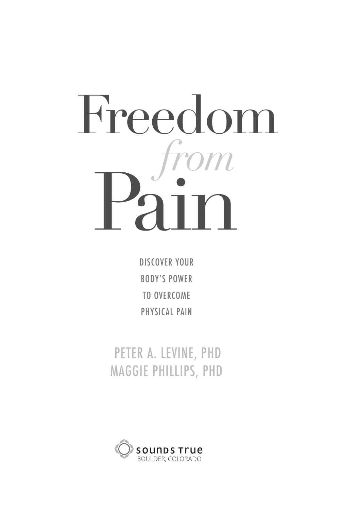# $\overline{\mathcal{M}}$ Freedom

Discover Your Body's Power to Overcome Physical Pain

Peter A. Levine, PhD Maggie Phillips, PhD

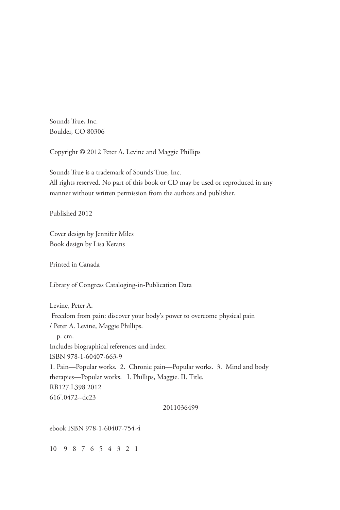Sounds True, Inc. Boulder, CO 80306

Copyright © 2012 Peter A. Levine and Maggie Phillips

Sounds True is a trademark of Sounds True, Inc. All rights reserved. No part of this book or CD may be used or reproduced in any manner without written permission from the authors and publisher.

Published 2012

Cover design by Jennifer Miles Book design by Lisa Kerans

Printed in Canada

Library of Congress Cataloging-in-Publication Data

Levine, Peter A. Freedom from pain: discover your body's power to overcome physical pain / Peter A. Levine, Maggie Phillips. p. cm.

Includes biographical references and index. ISBN 978-1-60407-663-9 1. Pain—Popular works. 2. Chronic pain—Popular works. 3. Mind and body therapies—Popular works. I. Phillips, Maggie. II. Title. RB127.L398 2012 616'.0472--dc23

#### 2011036499

ebook ISBN 978-1-60407-754-4

10 9 8 7 6 5 4 3 2 1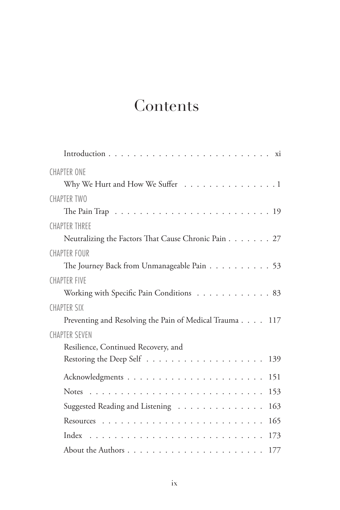## **Contents**

| <b>CHAPTER ONE</b>                                                                       |
|------------------------------------------------------------------------------------------|
| Why We Hurt and How We Suffer 1                                                          |
| <b>CHAPTER TWO</b>                                                                       |
| The Pain Trap $\ldots \ldots \ldots \ldots \ldots \ldots \ldots \ldots \ldots \ldots 19$ |
| <b>CHAPTER THREE</b>                                                                     |
| Neutralizing the Factors That Cause Chronic Pain 27                                      |
| <b>CHAPTER FOUR</b>                                                                      |
| The Journey Back from Unmanageable Pain 53                                               |
| <b>CHAPTER FIVE</b>                                                                      |
| Working with Specific Pain Conditions 83                                                 |
| <b>CHAPTER SIX</b>                                                                       |
| Preventing and Resolving the Pain of Medical Trauma 117                                  |
| <b>CHAPTER SEVEN</b>                                                                     |
| Resilience, Continued Recovery, and                                                      |
|                                                                                          |
| 151                                                                                      |
| 153                                                                                      |
| Suggested Reading and Listening<br>163                                                   |
| 165                                                                                      |
| 173                                                                                      |
| 177                                                                                      |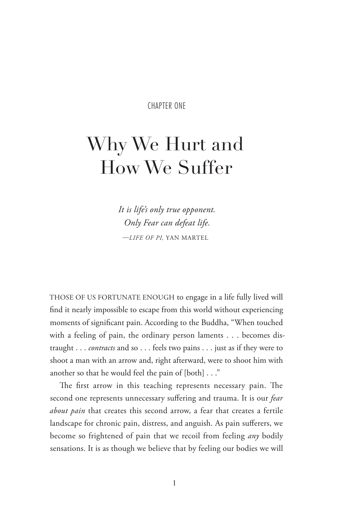#### Chapter One

## Why We Hurt and How We Suffer

*It is life's only true opponent. Only Fear can defeat life. —Life of Pi,* Yan Martel

THOSE OF US FORTUNATE ENOUGH to engage in a life fully lived will find it nearly impossible to escape from this world without experiencing moments of significant pain. According to the Buddha, "When touched with a feeling of pain, the ordinary person laments . . . becomes distraught . . . *contracts* and so . . . feels two pains . . . just as if they were to shoot a man with an arrow and, right afterward, were to shoot him with another so that he would feel the pain of [both] . . ."

The first arrow in this teaching represents necessary pain. The second one represents unnecessary suffering and trauma. It is our *fear about pain* that creates this second arrow, a fear that creates a fertile landscape for chronic pain, distress, and anguish. As pain sufferers, we become so frightened of pain that we recoil from feeling *any* bodily sensations. It is as though we believe that by feeling our bodies we will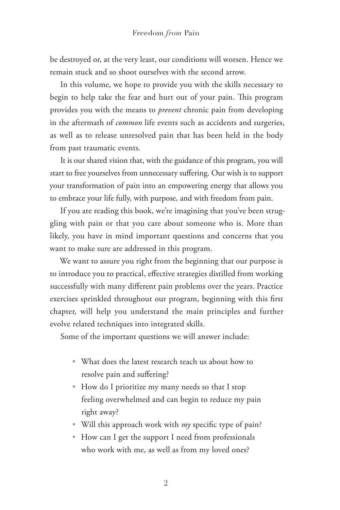be destroyed or, at the very least, our conditions will worsen. Hence we remain stuck and so shoot ourselves with the second arrow.

In this volume, we hope to provide you with the skills necessary to begin to help take the fear and hurt out of your pain. This program provides you with the means to *prevent* chronic pain from developing in the aftermath of *common* life events such as accidents and surgeries, as well as to release unresolved pain that has been held in the body from past traumatic events.

It is our shared vision that, with the guidance of this program, you will start to free yourselves from unnecessary suffering. Our wish is to support your transformation of pain into an empowering energy that allows you to embrace your life fully, with purpose, and with freedom from pain.

If you are reading this book, we're imagining that you've been struggling with pain or that you care about someone who is. More than likely, you have in mind important questions and concerns that you want to make sure are addressed in this program.

We want to assure you right from the beginning that our purpose is to introduce you to practical, effective strategies distilled from working successfully with many different pain problems over the years. Practice exercises sprinkled throughout our program, beginning with this first chapter, will help you understand the main principles and further evolve related techniques into integrated skills.

Some of the important questions we will answer include:

- What does the latest research teach us about how to resolve pain and suffering?
- How do I prioritize my many needs so that I stop feeling overwhelmed and can begin to reduce my pain right away?
- Will this approach work with *my* specific type of pain?
- How can I get the support I need from professionals who work with me, as well as from my loved ones?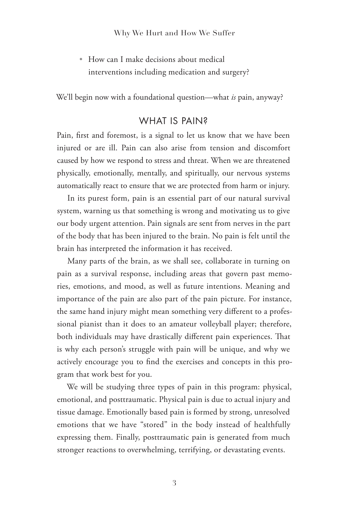• How can I make decisions about medical interventions including medication and surgery?

We'll begin now with a foundational question—what *is* pain, anyway?

#### What is Pain?

Pain, first and foremost, is a signal to let us know that we have been injured or are ill. Pain can also arise from tension and discomfort caused by how we respond to stress and threat. When we are threatened physically, emotionally, mentally, and spiritually, our nervous systems automatically react to ensure that we are protected from harm or injury.

In its purest form, pain is an essential part of our natural survival system, warning us that something is wrong and motivating us to give our body urgent attention. Pain signals are sent from nerves in the part of the body that has been injured to the brain. No pain is felt until the brain has interpreted the information it has received.

Many parts of the brain, as we shall see, collaborate in turning on pain as a survival response, including areas that govern past memories, emotions, and mood, as well as future intentions. Meaning and importance of the pain are also part of the pain picture. For instance, the same hand injury might mean something very different to a professional pianist than it does to an amateur volleyball player; therefore, both individuals may have drastically different pain experiences. That is why each person's struggle with pain will be unique, and why we actively encourage you to find the exercises and concepts in this program that work best for you.

We will be studying three types of pain in this program: physical, emotional, and posttraumatic. Physical pain is due to actual injury and tissue damage. Emotionally based pain is formed by strong, unresolved emotions that we have "stored" in the body instead of healthfully expressing them. Finally, posttraumatic pain is generated from much stronger reactions to overwhelming, terrifying, or devastating events.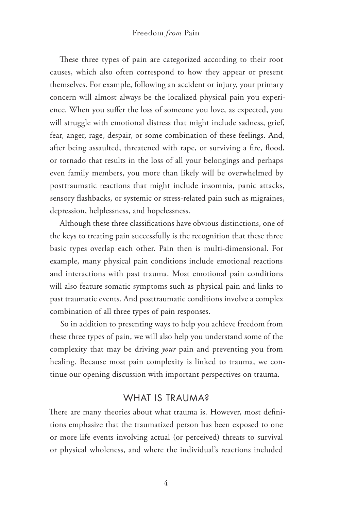These three types of pain are categorized according to their root causes, which also often correspond to how they appear or present themselves. For example, following an accident or injury, your primary concern will almost always be the localized physical pain you experience. When you suffer the loss of someone you love, as expected, you will struggle with emotional distress that might include sadness, grief, fear, anger, rage, despair, or some combination of these feelings. And, after being assaulted, threatened with rape, or surviving a fire, flood, or tornado that results in the loss of all your belongings and perhaps even family members, you more than likely will be overwhelmed by posttraumatic reactions that might include insomnia, panic attacks, sensory flashbacks, or systemic or stress-related pain such as migraines, depression, helplessness, and hopelessness.

Although these three classifications have obvious distinctions, one of the keys to treating pain successfully is the recognition that these three basic types overlap each other. Pain then is multi-dimensional. For example, many physical pain conditions include emotional reactions and interactions with past trauma. Most emotional pain conditions will also feature somatic symptoms such as physical pain and links to past traumatic events. And posttraumatic conditions involve a complex combination of all three types of pain responses.

So in addition to presenting ways to help you achieve freedom from these three types of pain, we will also help you understand some of the complexity that may be driving *your* pain and preventing you from healing. Because most pain complexity is linked to trauma, we continue our opening discussion with important perspectives on trauma.

### WHAT IS TRAIJMA?

There are many theories about what trauma is. However, most definitions emphasize that the traumatized person has been exposed to one or more life events involving actual (or perceived) threats to survival or physical wholeness, and where the individual's reactions included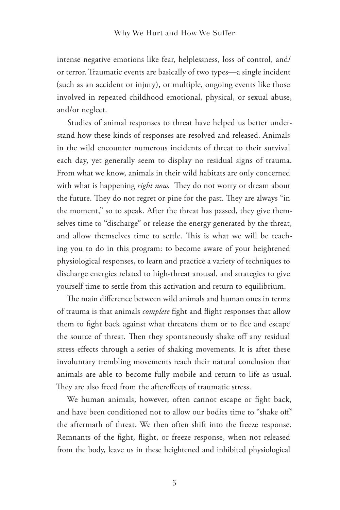intense negative emotions like fear, helplessness, loss of control, and/ or terror. Traumatic events are basically of two types—a single incident (such as an accident or injury), or multiple, ongoing events like those involved in repeated childhood emotional, physical, or sexual abuse, and/or neglect.

Studies of animal responses to threat have helped us better understand how these kinds of responses are resolved and released. Animals in the wild encounter numerous incidents of threat to their survival each day, yet generally seem to display no residual signs of trauma. From what we know, animals in their wild habitats are only concerned with what is happening *right now.* They do not worry or dream about the future. They do not regret or pine for the past. They are always "in the moment," so to speak. After the threat has passed, they give themselves time to "discharge" or release the energy generated by the threat, and allow themselves time to settle. This is what we will be teaching you to do in this program: to become aware of your heightened physiological responses, to learn and practice a variety of techniques to discharge energies related to high-threat arousal, and strategies to give yourself time to settle from this activation and return to equilibrium.

The main difference between wild animals and human ones in terms of trauma is that animals *complete* fight and flight responses that allow them to fight back against what threatens them or to flee and escape the source of threat. Then they spontaneously shake off any residual stress effects through a series of shaking movements. It is after these involuntary trembling movements reach their natural conclusion that animals are able to become fully mobile and return to life as usual. They are also freed from the aftereffects of traumatic stress.

We human animals, however, often cannot escape or fight back, and have been conditioned not to allow our bodies time to "shake off" the aftermath of threat. We then often shift into the freeze response. Remnants of the fight, flight, or freeze response, when not released from the body, leave us in these heightened and inhibited physiological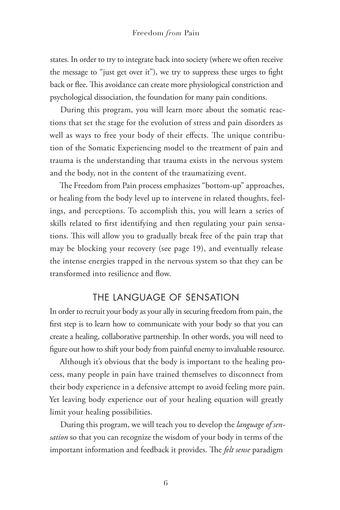states. In order to try to integrate back into society (where we often receive the message to "just get over it"), we try to suppress these urges to fight back or flee. This avoidance can create more physiological constriction and psychological dissociation, the foundation for many pain conditions.

During this program, you will learn more about the somatic reactions that set the stage for the evolution of stress and pain disorders as well as ways to free your body of their effects. The unique contribution of the Somatic Experiencing model to the treatment of pain and trauma is the understanding that trauma exists in the nervous system and the body, not in the content of the traumatizing event.

The Freedom from Pain process emphasizes "bottom-up" approaches, or healing from the body level up to intervene in related thoughts, feelings, and perceptions. To accomplish this, you will learn a series of skills related to first identifying and then regulating your pain sensations. This will allow you to gradually break free of the pain trap that may be blocking your recovery (see page 19), and eventually release the intense energies trapped in the nervous system so that they can be transformed into resilience and flow.

### The Language of Sensation

In order to recruit your body as your ally in securing freedom from pain, the first step is to learn how to communicate with your body so that you can create a healing, collaborative partnership. In other words, you will need to figure out how to shift your body from painful enemy to invaluable resource.

Although it's obvious that the body is important to the healing process, many people in pain have trained themselves to disconnect from their body experience in a defensive attempt to avoid feeling more pain. Yet leaving body experience out of your healing equation will greatly limit your healing possibilities.

During this program, we will teach you to develop the *language of sensation* so that you can recognize the wisdom of your body in terms of the important information and feedback it provides. The *felt sense* paradigm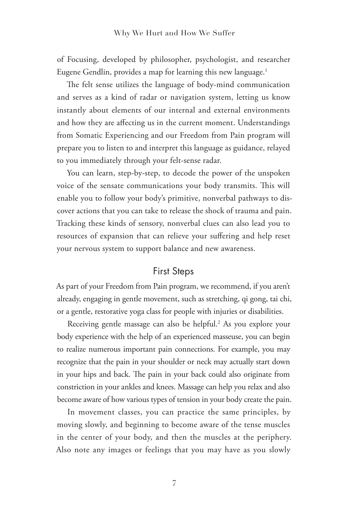of Focusing, developed by philosopher, psychologist, and researcher Eugene Gendlin, provides a map for learning this new language.<sup>1</sup>

The felt sense utilizes the language of body-mind communication and serves as a kind of radar or navigation system, letting us know instantly about elements of our internal and external environments and how they are affecting us in the current moment. Understandings from Somatic Experiencing and our Freedom from Pain program will prepare you to listen to and interpret this language as guidance, relayed to you immediately through your felt-sense radar.

You can learn, step-by-step, to decode the power of the unspoken voice of the sensate communications your body transmits. This will enable you to follow your body's primitive, nonverbal pathways to discover actions that you can take to release the shock of trauma and pain. Tracking these kinds of sensory, nonverbal clues can also lead you to resources of expansion that can relieve your suffering and help reset your nervous system to support balance and new awareness.

#### First Steps

As part of your Freedom from Pain program, we recommend, if you aren't already, engaging in gentle movement, such as stretching, qi gong, tai chi, or a gentle, restorative yoga class for people with injuries or disabilities.

Receiving gentle massage can also be helpful.<sup>2</sup> As you explore your body experience with the help of an experienced masseuse, you can begin to realize numerous important pain connections. For example, you may recognize that the pain in your shoulder or neck may actually start down in your hips and back. The pain in your back could also originate from constriction in your ankles and knees. Massage can help you relax and also become aware of how various types of tension in your body create the pain.

In movement classes, you can practice the same principles, by moving slowly, and beginning to become aware of the tense muscles in the center of your body, and then the muscles at the periphery. Also note any images or feelings that you may have as you slowly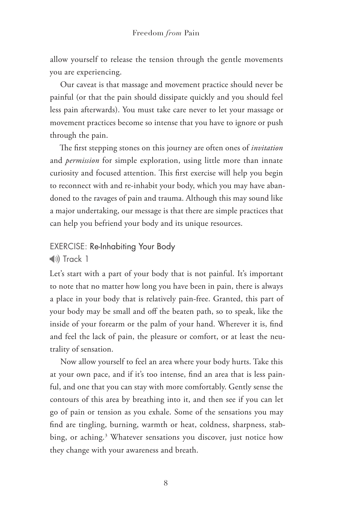allow yourself to release the tension through the gentle movements you are experiencing.

Our caveat is that massage and movement practice should never be painful (or that the pain should dissipate quickly and you should feel less pain afterwards). You must take care never to let your massage or movement practices become so intense that you have to ignore or push through the pain.

The first stepping stones on this journey are often ones of *invitation* and *permission* for simple exploration, using little more than innate curiosity and focused attention. This first exercise will help you begin to reconnect with and re-inhabit your body, which you may have abandoned to the ravages of pain and trauma. Although this may sound like a major undertaking, our message is that there are simple practices that can help you befriend your body and its unique resources.

#### EXERCISE: Re-Inhabiting Your Body  $\blacktriangleleft$ )) Track 1

Let's start with a part of your body that is not painful. It's important to note that no matter how long you have been in pain, there is always a place in your body that is relatively pain-free. Granted, this part of your body may be small and off the beaten path, so to speak, like the inside of your forearm or the palm of your hand. Wherever it is, find and feel the lack of pain, the pleasure or comfort, or at least the neutrality of sensation.

Now allow yourself to feel an area where your body hurts. Take this at your own pace, and if it's too intense, find an area that is less painful, and one that you can stay with more comfortably. Gently sense the contours of this area by breathing into it, and then see if you can let go of pain or tension as you exhale. Some of the sensations you may find are tingling, burning, warmth or heat, coldness, sharpness, stabbing, or aching.3 Whatever sensations you discover, just notice how they change with your awareness and breath.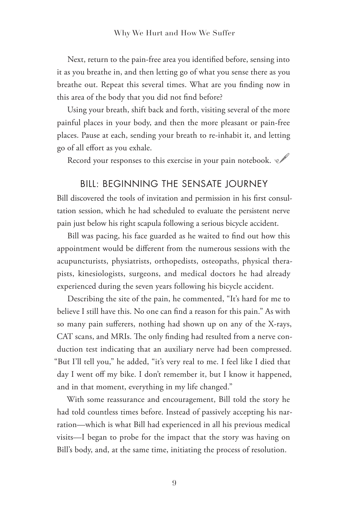Next, return to the pain-free area you identified before, sensing into it as you breathe in, and then letting go of what you sense there as you breathe out. Repeat this several times. What are you finding now in this area of the body that you did not find before?

Using your breath, shift back and forth, visiting several of the more painful places in your body, and then the more pleasant or pain-free places. Pause at each, sending your breath to re-inhabit it, and letting go of all effort as you exhale.

Record your responses to this exercise in your pain notebook.  $\mathcal{C}$ 

#### Bill: Beginning the Sensate Journey

Bill discovered the tools of invitation and permission in his first consultation session, which he had scheduled to evaluate the persistent nerve pain just below his right scapula following a serious bicycle accident.

Bill was pacing, his face guarded as he waited to find out how this appointment would be different from the numerous sessions with the acupuncturists, physiatrists, orthopedists, osteopaths, physical therapists, kinesiologists, surgeons, and medical doctors he had already experienced during the seven years following his bicycle accident.

Describing the site of the pain, he commented, "It's hard for me to believe I still have this. No one can find a reason for this pain." As with so many pain sufferers, nothing had shown up on any of the X-rays, CAT scans, and MRIs. The only finding had resulted from a nerve conduction test indicating that an auxiliary nerve had been compressed. "But I'll tell you," he added, "it's very real to me. I feel like I died that day I went off my bike. I don't remember it, but I know it happened, and in that moment, everything in my life changed."

With some reassurance and encouragement, Bill told the story he had told countless times before. Instead of passively accepting his narration—which is what Bill had experienced in all his previous medical visits—I began to probe for the impact that the story was having on Bill's body, and, at the same time, initiating the process of resolution.